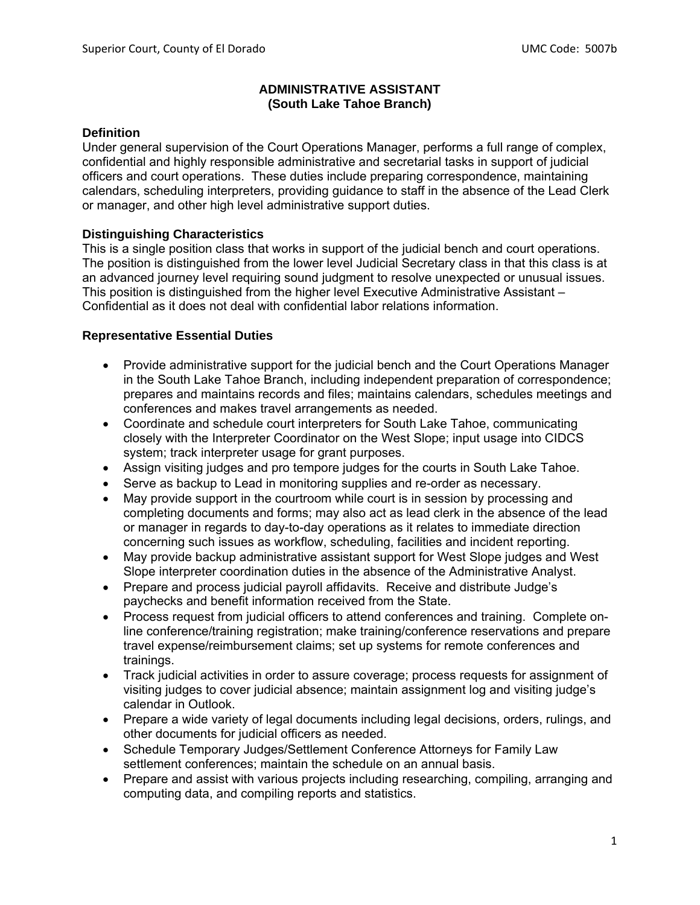#### **ADMINISTRATIVE ASSISTANT (South Lake Tahoe Branch)**

#### **Definition**

Under general supervision of the Court Operations Manager, performs a full range of complex, confidential and highly responsible administrative and secretarial tasks in support of judicial officers and court operations. These duties include preparing correspondence, maintaining calendars, scheduling interpreters, providing guidance to staff in the absence of the Lead Clerk or manager, and other high level administrative support duties.

## **Distinguishing Characteristics**

This is a single position class that works in support of the judicial bench and court operations. The position is distinguished from the lower level Judicial Secretary class in that this class is at an advanced journey level requiring sound judgment to resolve unexpected or unusual issues. This position is distinguished from the higher level Executive Administrative Assistant – Confidential as it does not deal with confidential labor relations information.

#### **Representative Essential Duties**

- Provide administrative support for the judicial bench and the Court Operations Manager in the South Lake Tahoe Branch, including independent preparation of correspondence; prepares and maintains records and files; maintains calendars, schedules meetings and conferences and makes travel arrangements as needed.
- Coordinate and schedule court interpreters for South Lake Tahoe, communicating closely with the Interpreter Coordinator on the West Slope; input usage into CIDCS system; track interpreter usage for grant purposes.
- Assign visiting judges and pro tempore judges for the courts in South Lake Tahoe.
- Serve as backup to Lead in monitoring supplies and re-order as necessary.
- May provide support in the courtroom while court is in session by processing and completing documents and forms; may also act as lead clerk in the absence of the lead or manager in regards to day-to-day operations as it relates to immediate direction concerning such issues as workflow, scheduling, facilities and incident reporting.
- May provide backup administrative assistant support for West Slope judges and West Slope interpreter coordination duties in the absence of the Administrative Analyst.
- Prepare and process judicial payroll affidavits. Receive and distribute Judge's paychecks and benefit information received from the State.
- Process request from judicial officers to attend conferences and training. Complete online conference/training registration; make training/conference reservations and prepare travel expense/reimbursement claims; set up systems for remote conferences and trainings.
- Track judicial activities in order to assure coverage; process requests for assignment of visiting judges to cover judicial absence; maintain assignment log and visiting judge's calendar in Outlook.
- Prepare a wide variety of legal documents including legal decisions, orders, rulings, and other documents for judicial officers as needed.
- Schedule Temporary Judges/Settlement Conference Attorneys for Family Law settlement conferences; maintain the schedule on an annual basis.
- Prepare and assist with various projects including researching, compiling, arranging and computing data, and compiling reports and statistics.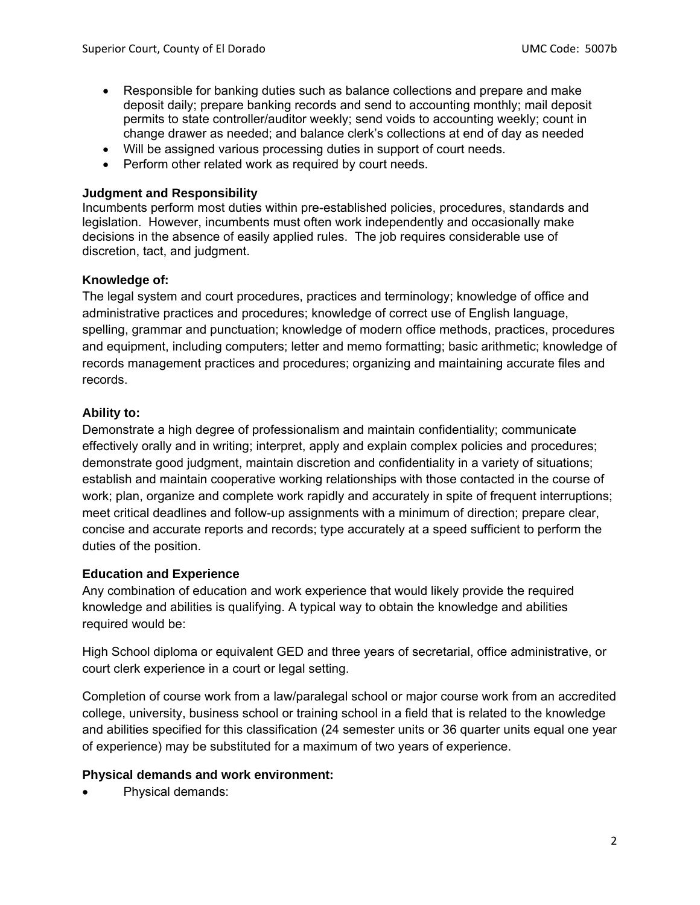- Responsible for banking duties such as balance collections and prepare and make deposit daily; prepare banking records and send to accounting monthly; mail deposit permits to state controller/auditor weekly; send voids to accounting weekly; count in change drawer as needed; and balance clerk's collections at end of day as needed
- Will be assigned various processing duties in support of court needs.
- Perform other related work as required by court needs.

#### **Judgment and Responsibility**

Incumbents perform most duties within pre-established policies, procedures, standards and legislation. However, incumbents must often work independently and occasionally make decisions in the absence of easily applied rules. The job requires considerable use of discretion, tact, and judgment.

## **Knowledge of:**

The legal system and court procedures, practices and terminology; knowledge of office and administrative practices and procedures; knowledge of correct use of English language, spelling, grammar and punctuation; knowledge of modern office methods, practices, procedures and equipment, including computers; letter and memo formatting; basic arithmetic; knowledge of records management practices and procedures; organizing and maintaining accurate files and records.

# **Ability to:**

Demonstrate a high degree of professionalism and maintain confidentiality; communicate effectively orally and in writing; interpret, apply and explain complex policies and procedures; demonstrate good judgment, maintain discretion and confidentiality in a variety of situations; establish and maintain cooperative working relationships with those contacted in the course of work; plan, organize and complete work rapidly and accurately in spite of frequent interruptions; meet critical deadlines and follow-up assignments with a minimum of direction; prepare clear, concise and accurate reports and records; type accurately at a speed sufficient to perform the duties of the position.

## **Education and Experience**

Any combination of education and work experience that would likely provide the required knowledge and abilities is qualifying. A typical way to obtain the knowledge and abilities required would be:

High School diploma or equivalent GED and three years of secretarial, office administrative, or court clerk experience in a court or legal setting.

Completion of course work from a law/paralegal school or major course work from an accredited college, university, business school or training school in a field that is related to the knowledge and abilities specified for this classification (24 semester units or 36 quarter units equal one year of experience) may be substituted for a maximum of two years of experience.

## **Physical demands and work environment:**

Physical demands: